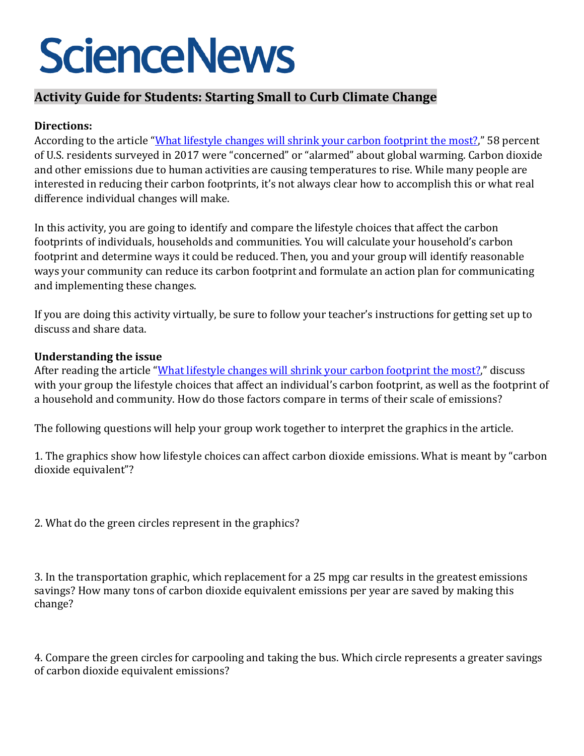# **ScienceNews**

# **Activity Guide for Students: Starting Small to Curb Climate Change**

## **Directions:**

According to the article ["What lifestyle changes will shrink your carbon footprint the most?,](https://www.sciencenews.org/article/climate-change-actions-reduce-carbon-footprint)" 58 percent of U.S. residents surveyed in 2017 were "concerned" or "alarmed" about global warming. Carbon dioxide and other emissions due to human activities are causing temperatures to rise. While many people are interested in reducing their carbon footprints, it's not always clear how to accomplish this or what real difference individual changes will make.

In this activity, you are going to identify and compare the lifestyle choices that affect the carbon footprints of individuals, households and communities. You will calculate your household's carbon footprint and determine ways it could be reduced. Then, you and your group will identify reasonable ways your community can reduce its carbon footprint and formulate an action plan for communicating and implementing these changes.

If you are doing this activity virtually, be sure to follow your teacher's instructions for getting set up to discuss and share data.

### **Understanding the issue**

After reading the article ["What lifestyle changes will shrink your carbon footprint the most?,](https://www.sciencenews.org/article/climate-change-actions-reduce-carbon-footprint)" discuss with your group the lifestyle choices that affect an individual's carbon footprint, as well as the footprint of a household and community. How do those factors compare in terms of their scale of emissions?

The following questions will help your group work together to interpret the graphics in the article.

1. The graphics show how lifestyle choices can affect carbon dioxide emissions. What is meant by "carbon dioxide equivalent"?

2. What do the green circles represent in the graphics?

3. In the transportation graphic, which replacement for a 25 mpg car results in the greatest emissions savings? How many tons of carbon dioxide equivalent emissions per year are saved by making this change?

4. Compare the green circles for carpooling and taking the bus. Which circle represents a greater savings of carbon dioxide equivalent emissions?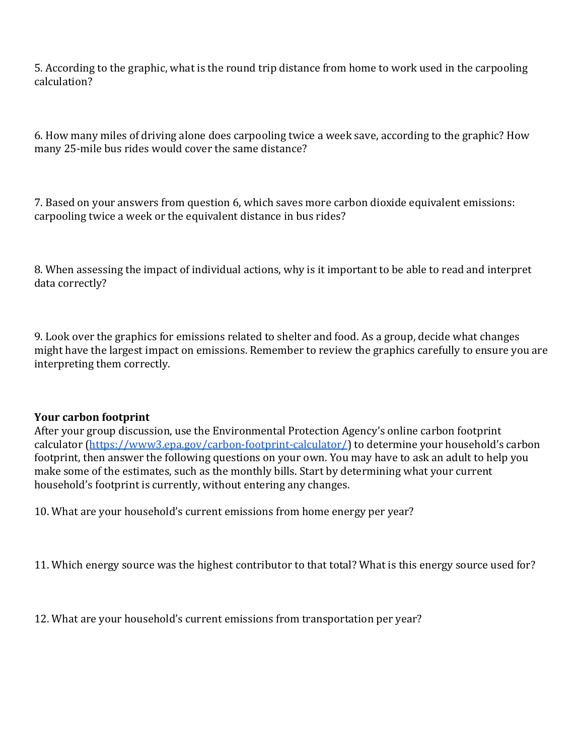5. According to the graphic, what is the round trip distance from home to work used in the carpooling calculation?

6. How many miles of driving alone does carpooling twice a week save, according to the graphic? How many 25-mile bus rides would cover the same distance?

7. Based on your answers from question 6, which saves more carbon dioxide equivalent emissions: carpooling twice a week or the equivalent distance in bus rides?

8. When assessing the impact of individual actions, why is it important to be able to read and interpret data correctly?

9. Look over the graphics for emissions related to shelter and food. As a group, decide what changes might have the largest impact on emissions. Remember to review the graphics carefully to ensure you are interpreting them correctly.

#### **Your carbon footprint**

After your group discussion, use the Environmental Protection Agency's online carbon footprint calculator [\(https://www3.epa.gov/carbon-footprint-calculator/\)](https://www3.epa.gov/carbon-footprint-calculator/) to determine your household's carbon footprint, then answer the following questions on your own. You may have to ask an adult to help you make some of the estimates, such as the monthly bills. Start by determining what your current household's footprint is currently, without entering any changes.

10. What are your household's current emissions from home energy per year?

11. Which energy source was the highest contributor to that total? What is this energy source used for?

12. What are your household's current emissions from transportation per year?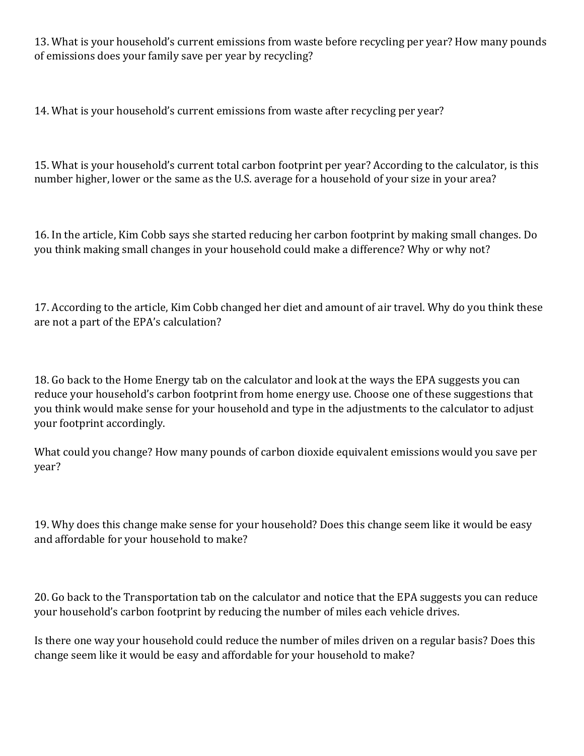13. What is your household's current emissions from waste before recycling per year? How many pounds of emissions does your family save per year by recycling?

14. What is your household's current emissions from waste after recycling per year?

15. What is your household's current total carbon footprint per year? According to the calculator, is this number higher, lower or the same as the U.S. average for a household of your size in your area?

16. In the article, Kim Cobb says she started reducing her carbon footprint by making small changes. Do you think making small changes in your household could make a difference? Why or why not?

17. According to the article, Kim Cobb changed her diet and amount of air travel. Why do you think these are not a part of the EPA's calculation?

18. Go back to the Home Energy tab on the calculator and look at the ways the EPA suggests you can reduce your household's carbon footprint from home energy use. Choose one of these suggestions that you think would make sense for your household and type in the adjustments to the calculator to adjust your footprint accordingly.

What could you change? How many pounds of carbon dioxide equivalent emissions would you save per year?

19. Why does this change make sense for your household? Does this change seem like it would be easy and affordable for your household to make?

20. Go back to the Transportation tab on the calculator and notice that the EPA suggests you can reduce your household's carbon footprint by reducing the number of miles each vehicle drives.

Is there one way your household could reduce the number of miles driven on a regular basis? Does this change seem like it would be easy and affordable for your household to make?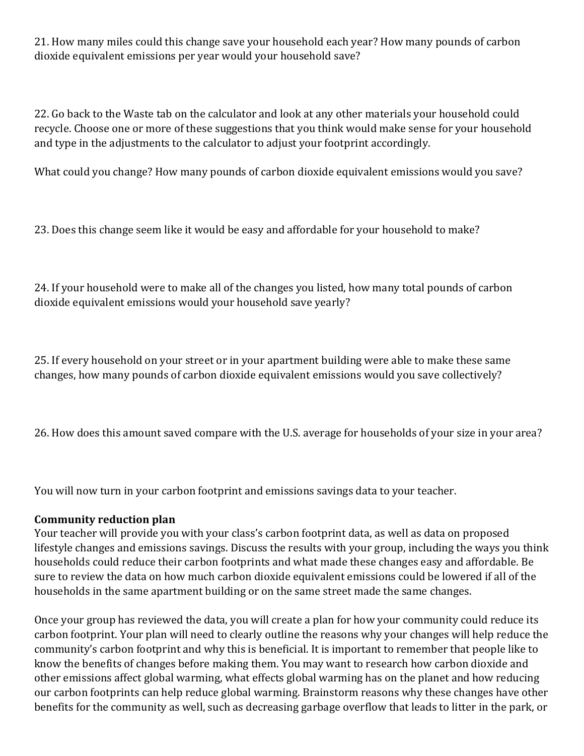21. How many miles could this change save your household each year? How many pounds of carbon dioxide equivalent emissions per year would your household save?

22. Go back to the Waste tab on the calculator and look at any other materials your household could recycle. Choose one or more of these suggestions that you think would make sense for your household and type in the adjustments to the calculator to adjust your footprint accordingly.

What could you change? How many pounds of carbon dioxide equivalent emissions would you save?

23. Does this change seem like it would be easy and affordable for your household to make?

24. If your household were to make all of the changes you listed, how many total pounds of carbon dioxide equivalent emissions would your household save yearly?

25. If every household on your street or in your apartment building were able to make these same changes, how many pounds of carbon dioxide equivalent emissions would you save collectively?

26. How does this amount saved compare with the U.S. average for households of your size in your area?

You will now turn in your carbon footprint and emissions savings data to your teacher.

### **Community reduction plan**

Your teacher will provide you with your class's carbon footprint data, as well as data on proposed lifestyle changes and emissions savings. Discuss the results with your group, including the ways you think households could reduce their carbon footprints and what made these changes easy and affordable. Be sure to review the data on how much carbon dioxide equivalent emissions could be lowered if all of the households in the same apartment building or on the same street made the same changes.

Once your group has reviewed the data, you will create a plan for how your community could reduce its carbon footprint. Your plan will need to clearly outline the reasons why your changes will help reduce the community's carbon footprint and why this is beneficial. It is important to remember that people like to know the benefits of changes before making them. You may want to research how carbon dioxide and other emissions affect global warming, what effects global warming has on the planet and how reducing our carbon footprints can help reduce global warming. Brainstorm reasons why these changes have other benefits for the community as well, such as decreasing garbage overflow that leads to litter in the park, or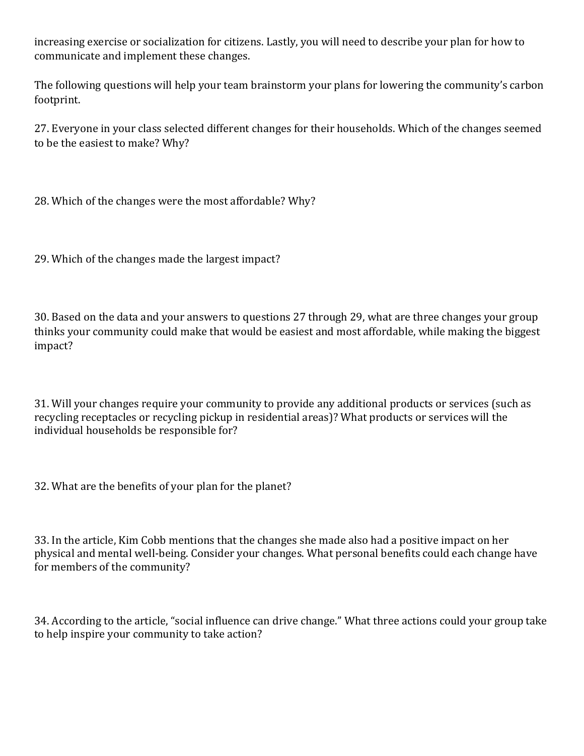increasing exercise or socialization for citizens. Lastly, you will need to describe your plan for how to communicate and implement these changes.

The following questions will help your team brainstorm your plans for lowering the community's carbon footprint.

27. Everyone in your class selected different changes for their households. Which of the changes seemed to be the easiest to make? Why?

28. Which of the changes were the most affordable? Why?

29. Which of the changes made the largest impact?

30. Based on the data and your answers to questions 27 through 29, what are three changes your group thinks your community could make that would be easiest and most affordable, while making the biggest impact?

31. Will your changes require your community to provide any additional products or services (such as recycling receptacles or recycling pickup in residential areas)? What products or services will the individual households be responsible for?

32. What are the benefits of your plan for the planet?

33. In the article, Kim Cobb mentions that the changes she made also had a positive impact on her physical and mental well-being. Consider your changes. What personal benefits could each change have for members of the community?

34. According to the article, "social influence can drive change." What three actions could your group take to help inspire your community to take action?